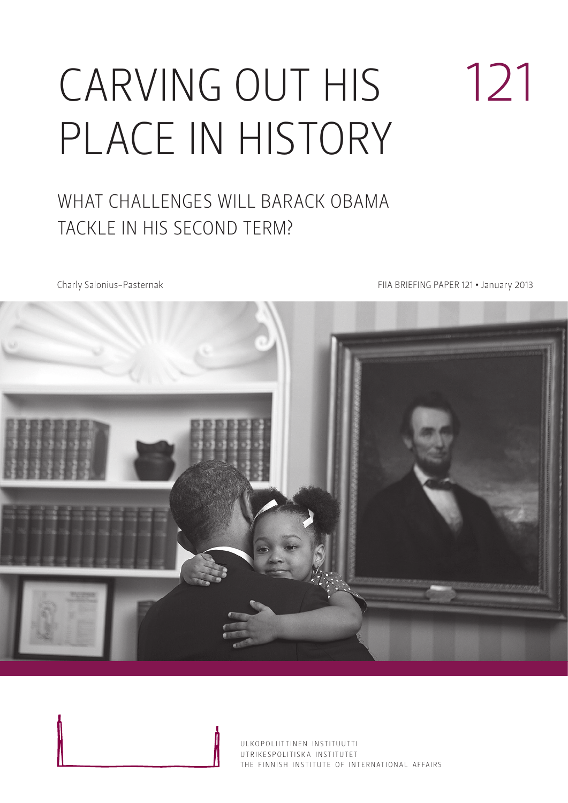# CARVING OUT HIS place in history

### WHAT CHALLENGES WILL BARACK OBAMA tackle in his second term?

Charly Salonius-Pasternak FIIA BRIEFING PAPER 121 • January 2013

121



ULKOPOLIITTINEN INSTITUUTTI UTRIKESPOLITISK A INSTITUTET THE FINNISH INSTITUTE OF INTERNATIONAL AFFAIRS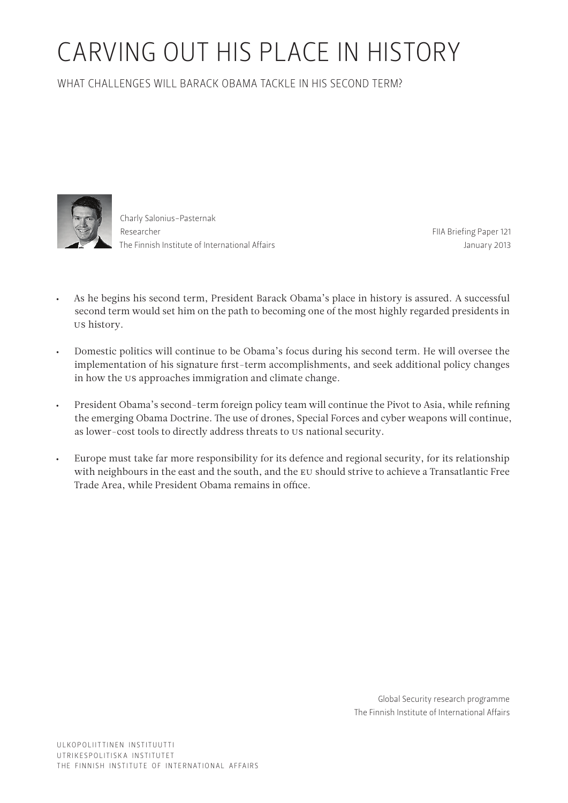## Carving out his place in history

What challenges will Barack Obama tackle in his second term?



Charly Salonius-Pasternak Researcher The Finnish Institute of International Affairs

FIIA Briefing Paper 121 January 2013

- As he begins his second term, President Barack Obama's place in history is assured. A successful second term would set him on the path to becoming one of the most highly regarded presidents in US history.
- • Domestic politics will continue to be Obama's focus during his second term. He will oversee the implementation of his signature first-term accomplishments, and seek additional policy changes in how the US approaches immigration and climate change.
- • President Obama's second-term foreign policy team will continue the Pivot to Asia, while refining the emerging Obama Doctrine. The use of drones, Special Forces and cyber weapons will continue, as lower-cost tools to directly address threats to US national security.
- Europe must take far more responsibility for its defence and regional security, for its relationship with neighbours in the east and the south, and the EU should strive to achieve a Transatlantic Free Trade Area, while President Obama remains in office.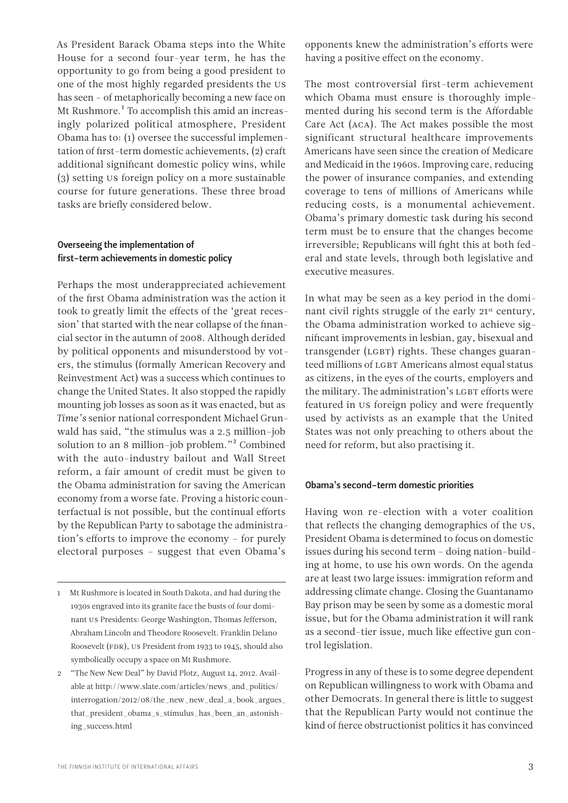As President Barack Obama steps into the White House for a second four-year term, he has the opportunity to go from being a good president to one of the most highly regarded presidents the US has seen – of metaphorically becoming a new face on Mt Rushmore.<sup>1</sup> To accomplish this amid an increasingly polarized political atmosphere, President Obama has to: (1) oversee the successful implementation of first-term domestic achievements, (2) craft additional significant domestic policy wins, while (3) setting US foreign policy on a more sustainable course for future generations. These three broad tasks are briefly considered below.

#### Overseeing the implementation of first-term achievements in domestic policy

Perhaps the most underappreciated achievement of the first Obama administration was the action it took to greatly limit the effects of the 'great recession' that started with the near collapse of the financial sector in the autumn of 2008. Although derided by political opponents and misunderstood by voters, the stimulus (formally American Recovery and Reinvestment Act) was a success which continues to change the United States. It also stopped the rapidly mounting job losses as soon as it was enacted, but as *Time's* senior national correspondent Michael Grunwald has said, "the stimulus was a 2.5 million-job solution to an 8 million-job problem."2 Combined with the auto-industry bailout and Wall Street reform, a fair amount of credit must be given to the Obama administration for saving the American economy from a worse fate. Proving a historic counterfactual is not possible, but the continual efforts by the Republican Party to sabotage the administration's efforts to improve the economy – for purely electoral purposes – suggest that even Obama's

opponents knew the administration's efforts were having a positive effect on the economy.

The most controversial first-term achievement which Obama must ensure is thoroughly implemented during his second term is the Affordable Care Act (ACA). The Act makes possible the most significant structural healthcare improvements Americans have seen since the creation of Medicare and Medicaid in the 1960s. Improving care, reducing the power of insurance companies, and extending coverage to tens of millions of Americans while reducing costs, is a monumental achievement. Obama's primary domestic task during his second term must be to ensure that the changes become irreversible; Republicans will fight this at both federal and state levels, through both legislative and executive measures.

In what may be seen as a key period in the dominant civil rights struggle of the early 21<sup>st</sup> century, the Obama administration worked to achieve significant improvements in lesbian, gay, bisexual and transgender (LGBT) rights. These changes guaranteed millions of LGBT Americans almost equal status as citizens, in the eyes of the courts, employers and the military. The administration's LGBT efforts were featured in US foreign policy and were frequently used by activists as an example that the United States was not only preaching to others about the need for reform, but also practising it.

#### Obama's second-term domestic priorities

Having won re-election with a voter coalition that reflects the changing demographics of the US, President Obama is determined to focus on domestic issues during his second term – doing nation-building at home, to use his own words. On the agenda are at least two large issues: immigration reform and addressing climate change. Closing the Guantanamo Bay prison may be seen by some as a domestic moral issue, but for the Obama administration it will rank as a second-tier issue, much like effective gun control legislation.

Progress in any of these is to some degree dependent on Republican willingness to work with Obama and other Democrats. In general there is little to suggest that the Republican Party would not continue the kind of fierce obstructionist politics it has convinced

<sup>1</sup> Mt Rushmore is located in South Dakota, and had during the 1930s engraved into its granite face the busts of four dominant US Presidents: George Washington, Thomas Jefferson, Abraham Lincoln and Theodore Roosevelt. Franklin Delano Roosevelt (FDR), US President from 1933 to 1945, should also symbolically occupy a space on Mt Rushmore.

<sup>&</sup>quot;The New New Deal" by David Plotz, August 14, 2012. Available at http://www.slate.com/articles/news\_and\_politics/ interrogation/2012/08/the\_new\_new\_deal\_a\_book\_argues\_ that\_president\_obama\_s\_stimulus\_has\_been\_an\_astonishing\_success.html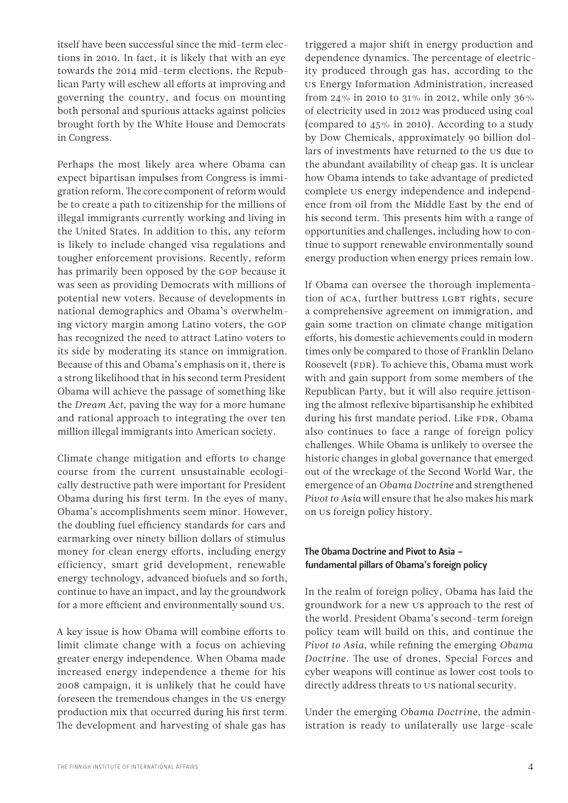itself have been successful since the mid-term elections in 2010. In fact, it is likely that with an eye towards the 2014 mid-term elections, the Republican Party will eschew all efforts at improving and governing the country, and focus on mounting both personal and spurious attacks against policies brought forth by the White House and Democrats in Congress.

Perhaps the most likely area where Obama can expect bipartisan impulses from Congress is immigration reform. The core component of reform would be to create a path to citizenship for the millions of illegal immigrants currently working and living in the United States. In addition to this, any reform is likely to include changed visa regulations and tougher enforcement provisions. Recently, reform has primarily been opposed by the GOP because it was seen as providing Democrats with millions of potential new voters. Because of developments in national demographics and Obama's overwhelming victory margin among Latino voters, the GOP has recognized the need to attract Latino voters to its side by moderating its stance on immigration. Because of this and Obama's emphasis on it, there is a strong likelihood that in his second term President Obama will achieve the passage of something like the *Dream Act*, paving the way for a more humane and rational approach to integrating the over ten million illegal immigrants into American society.

Climate change mitigation and efforts to change course from the current unsustainable ecologically destructive path were important for President Obama during his first term. In the eyes of many, Obama's accomplishments seem minor. However, the doubling fuel efficiency standards for cars and earmarking over ninety billion dollars of stimulus money for clean energy efforts, including energy efficiency, smart grid development, renewable energy technology, advanced biofuels and so forth, continue to have an impact, and lay the groundwork for a more efficient and environmentally sound US.

A key issue is how Obama will combine efforts to limit climate change with a focus on achieving greater energy independence. When Obama made increased energy independence a theme for his 2008 campaign, it is unlikely that he could have foreseen the tremendous changes in the US energy production mix that occurred during his first term. The development and harvesting of shale gas has

triggered a major shift in energy production and dependence dynamics. The percentage of electricity produced through gas has, according to the US Energy Information Administration, increased from 24% in 2010 to 31% in 2012, while only 36% of electricity used in 2012 was produced using coal (compared to 45% in 2010). According to a study by Dow Chemicals, approximately 90 billion dollars of investments have returned to the US due to the abundant availability of cheap gas. It is unclear how Obama intends to take advantage of predicted complete US energy independence and independence from oil from the Middle East by the end of his second term. This presents him with a range of opportunities and challenges, including how to continue to support renewable environmentally sound energy production when energy prices remain low.

If Obama can oversee the thorough implementation of ACA, further buttress LGBT rights, secure a comprehensive agreement on immigration, and gain some traction on climate change mitigation efforts, his domestic achievements could in modern times only be compared to those of Franklin Delano Roosevelt (FDR). To achieve this, Obama must work with and gain support from some members of the Republican Party, but it will also require jettisoning the almost reflexive bipartisanship he exhibited during his first mandate period. Like FDR, Obama also continues to face a range of foreign policy challenges. While Obama is unlikely to oversee the historic changes in global governance that emerged out of the wreckage of the Second World War, the emergence of an *Obama Doctrine* and strengthened *Pivot to Asia* will ensure that he also makes his mark on US foreign policy history.

#### The Obama Doctrine and Pivot to Asia – fundamental pillars of Obama's foreign policy

In the realm of foreign policy, Obama has laid the groundwork for a new US approach to the rest of the world. President Obama's second-term foreign policy team will build on this, and continue the *Pivot to Asia*, while refining the emerging *Obama Doctrine*. The use of drones, Special Forces and cyber weapons will continue as lower cost tools to directly address threats to US national security.

Under the emerging *Obama Doctrine*, the administration is ready to unilaterally use large-scale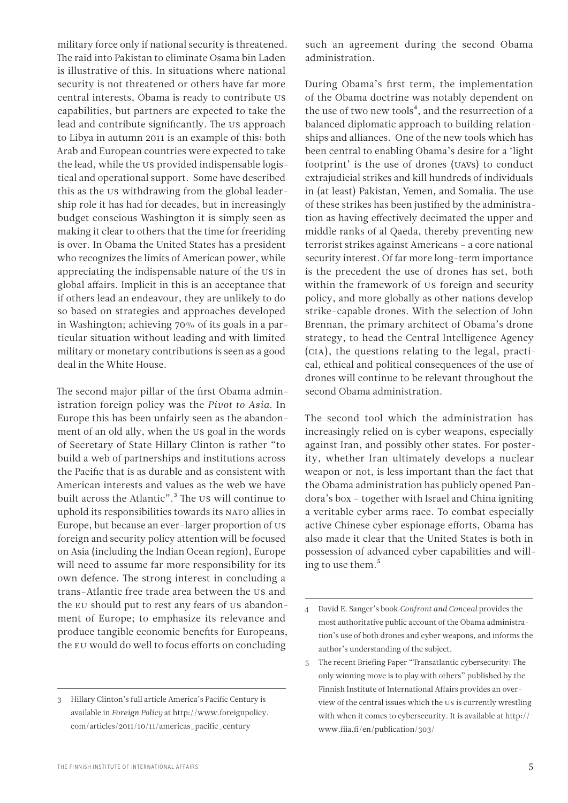military force only if national security is threatened. The raid into Pakistan to eliminate Osama bin Laden is illustrative of this. In situations where national security is not threatened or others have far more central interests, Obama is ready to contribute US capabilities, but partners are expected to take the lead and contribute significantly. The US approach to Libya in autumn 2011 is an example of this: both Arab and European countries were expected to take the lead, while the US provided indispensable logistical and operational support. Some have described this as the US withdrawing from the global leadership role it has had for decades, but in increasingly budget conscious Washington it is simply seen as making it clear to others that the time for freeriding is over. In Obama the United States has a president who recognizes the limits of American power, while appreciating the indispensable nature of the US in global affairs. Implicit in this is an acceptance that if others lead an endeavour, they are unlikely to do so based on strategies and approaches developed in Washington; achieving 70% of its goals in a particular situation without leading and with limited military or monetary contributions is seen as a good deal in the White House.

The second major pillar of the first Obama administration foreign policy was the *Pivot to Asia*. In Europe this has been unfairly seen as the abandonment of an old ally, when the US goal in the words of Secretary of State Hillary Clinton is rather "to build a web of partnerships and institutions across the Pacific that is as durable and as consistent with American interests and values as the web we have built across the Atlantic".<sup>3</sup> The US will continue to uphold its responsibilities towards its NATO allies in Europe, but because an ever-larger proportion of US foreign and security policy attention will be focused on Asia (including the Indian Ocean region), Europe will need to assume far more responsibility for its own defence. The strong interest in concluding a trans-Atlantic free trade area between the US and the EU should put to rest any fears of US abandonment of Europe; to emphasize its relevance and produce tangible economic benefits for Europeans, the EU would do well to focus efforts on concluding

such an agreement during the second Obama administration.

During Obama's first term, the implementation of the Obama doctrine was notably dependent on the use of two new tools<sup>4</sup>, and the resurrection of a balanced diplomatic approach to building relationships and alliances. One of the new tools which has been central to enabling Obama's desire for a 'light footprint' is the use of drones (UAVs) to conduct extrajudicial strikes and kill hundreds of individuals in (at least) Pakistan, Yemen, and Somalia. The use of these strikes has been justified by the administration as having effectively decimated the upper and middle ranks of al Qaeda, thereby preventing new terrorist strikes against Americans – a core national security interest. Of far more long-term importance is the precedent the use of drones has set, both within the framework of US foreign and security policy, and more globally as other nations develop strike-capable drones. With the selection of John Brennan, the primary architect of Obama's drone strategy, to head the Central Intelligence Agency (CIA), the questions relating to the legal, practical, ethical and political consequences of the use of drones will continue to be relevant throughout the second Obama administration.

The second tool which the administration has increasingly relied on is cyber weapons, especially against Iran, and possibly other states. For posterity, whether Iran ultimately develops a nuclear weapon or not, is less important than the fact that the Obama administration has publicly opened Pandora's box – together with Israel and China igniting a veritable cyber arms race. To combat especially active Chinese cyber espionage efforts, Obama has also made it clear that the United States is both in possession of advanced cyber capabilities and willing to use them.<sup>5</sup>

<sup>3</sup> Hillary Clinton's full article America's Pacific Century is available in *Foreign Policy* at http://www.foreignpolicy. com/articles/2011/10/11/americas\_pacific\_century

<sup>4</sup> David E. Sanger's book *Confront and Conceal* provides the most authoritative public account of the Obama administration's use of both drones and cyber weapons, and informs the author's understanding of the subject.

<sup>5</sup> The recent Briefing Paper "Transatlantic cybersecurity: The only winning move is to play with others" published by the Finnish Institute of International Affairs provides an overview of the central issues which the US is currently wrestling with when it comes to cybersecurity. It is available at http:// www.fiia.fi/en/publication/303/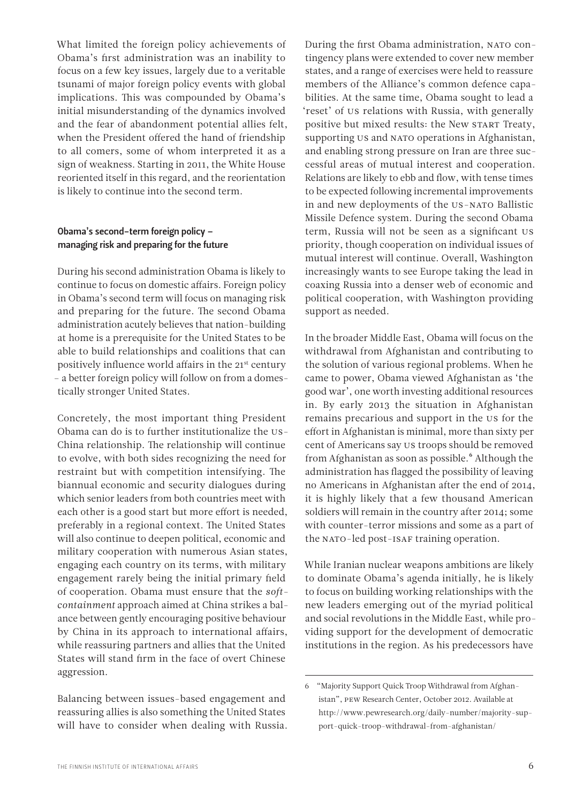What limited the foreign policy achievements of Obama's first administration was an inability to focus on a few key issues, largely due to a veritable tsunami of major foreign policy events with global implications. This was compounded by Obama's initial misunderstanding of the dynamics involved and the fear of abandonment potential allies felt, when the President offered the hand of friendship to all comers, some of whom interpreted it as a sign of weakness. Starting in 2011, the White House reoriented itself in this regard, and the reorientation is likely to continue into the second term.

#### Obama's second-term foreign policy – managing risk and preparing for the future

During his second administration Obama is likely to continue to focus on domestic affairs. Foreign policy in Obama's second term will focus on managing risk and preparing for the future. The second Obama administration acutely believes that nation-building at home is a prerequisite for the United States to be able to build relationships and coalitions that can positively influence world affairs in the 21<sup>st</sup> century – a better foreign policy will follow on from a domestically stronger United States.

Concretely, the most important thing President Obama can do is to further institutionalize the US-China relationship. The relationship will continue to evolve, with both sides recognizing the need for restraint but with competition intensifying. The biannual economic and security dialogues during which senior leaders from both countries meet with each other is a good start but more effort is needed, preferably in a regional context. The United States will also continue to deepen political, economic and military cooperation with numerous Asian states, engaging each country on its terms, with military engagement rarely being the initial primary field of cooperation. Obama must ensure that the *softcontainment* approach aimed at China strikes a balance between gently encouraging positive behaviour by China in its approach to international affairs, while reassuring partners and allies that the United States will stand firm in the face of overt Chinese aggression.

Balancing between issues-based engagement and reassuring allies is also something the United States will have to consider when dealing with Russia.

During the first Obama administration, NATO contingency plans were extended to cover new member states, and a range of exercises were held to reassure members of the Alliance's common defence capabilities. At the same time, Obama sought to lead a 'reset' of US relations with Russia, with generally positive but mixed results: the New START Treaty, supporting US and NATO operations in Afghanistan, and enabling strong pressure on Iran are three successful areas of mutual interest and cooperation. Relations are likely to ebb and flow, with tense times to be expected following incremental improvements in and new deployments of the US-NATO Ballistic Missile Defence system. During the second Obama term, Russia will not be seen as a significant US priority, though cooperation on individual issues of mutual interest will continue. Overall, Washington increasingly wants to see Europe taking the lead in coaxing Russia into a denser web of economic and political cooperation, with Washington providing support as needed.

In the broader Middle East, Obama will focus on the withdrawal from Afghanistan and contributing to the solution of various regional problems. When he came to power, Obama viewed Afghanistan as 'the good war', one worth investing additional resources in. By early 2013 the situation in Afghanistan remains precarious and support in the US for the effort in Afghanistan is minimal, more than sixty per cent of Americans say US troops should be removed from Afghanistan as soon as possible.<sup>6</sup> Although the administration has flagged the possibility of leaving no Americans in Afghanistan after the end of 2014, it is highly likely that a few thousand American soldiers will remain in the country after 2014; some with counter-terror missions and some as a part of the NATO-led post-ISAF training operation.

While Iranian nuclear weapons ambitions are likely to dominate Obama's agenda initially, he is likely to focus on building working relationships with the new leaders emerging out of the myriad political and social revolutions in the Middle East, while providing support for the development of democratic institutions in the region. As his predecessors have

<sup>6</sup> "Majority Support Quick Troop Withdrawal from Afghanistan", PEW Research Center, October 2012. Available at http://www.pewresearch.org/daily-number/majority-support-quick-troop-withdrawal-from-afghanistan/